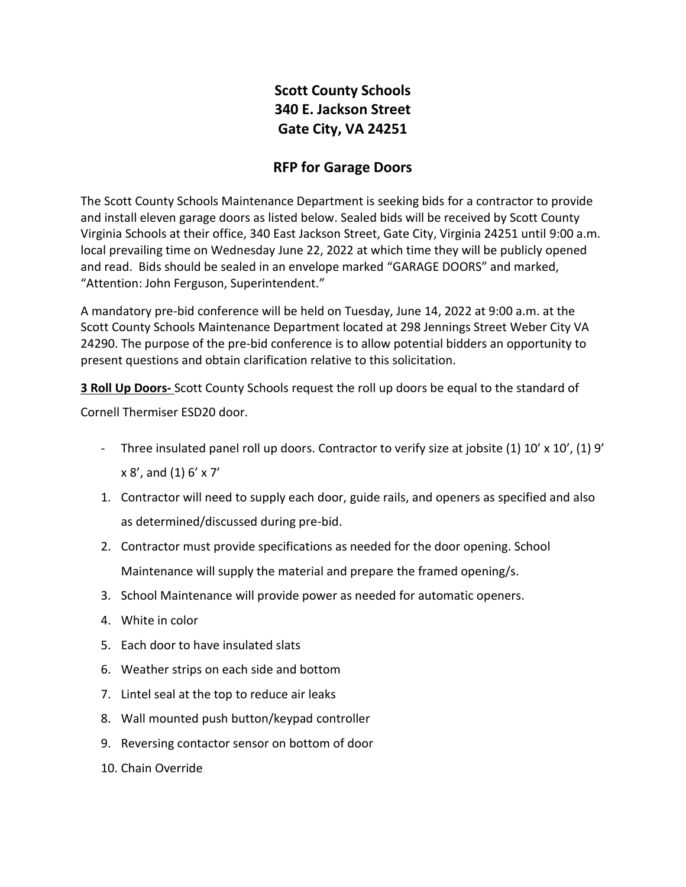## **Scott County Schools 340 E. Jackson Street Gate City, VA 24251**

## **RFP for Garage Doors**

The Scott County Schools Maintenance Department is seeking bids for a contractor to provide and install eleven garage doors as listed below. Sealed bids will be received by Scott County Virginia Schools at their office, 340 East Jackson Street, Gate City, Virginia 24251 until 9:00 a.m. local prevailing time on Wednesday June 22, 2022 at which time they will be publicly opened and read. Bids should be sealed in an envelope marked "GARAGE DOORS" and marked, "Attention: John Ferguson, Superintendent."

A mandatory pre-bid conference will be held on Tuesday, June 14, 2022 at 9:00 a.m. at the Scott County Schools Maintenance Department located at 298 Jennings Street Weber City VA 24290. The purpose of the pre-bid conference is to allow potential bidders an opportunity to present questions and obtain clarification relative to this solicitation.

**3 Roll Up Doors-** Scott County Schools request the roll up doors be equal to the standard of

Cornell Thermiser ESD20 door.

- Three insulated panel roll up doors. Contractor to verify size at jobsite (1) 10' x 10', (1) 9' x 8', and (1) 6' x 7'
- 1. Contractor will need to supply each door, guide rails, and openers as specified and also as determined/discussed during pre-bid.
- 2. Contractor must provide specifications as needed for the door opening. School Maintenance will supply the material and prepare the framed opening/s.
- 3. School Maintenance will provide power as needed for automatic openers.
- 4. White in color
- 5. Each door to have insulated slats
- 6. Weather strips on each side and bottom
- 7. Lintel seal at the top to reduce air leaks
- 8. Wall mounted push button/keypad controller
- 9. Reversing contactor sensor on bottom of door
- 10. Chain Override